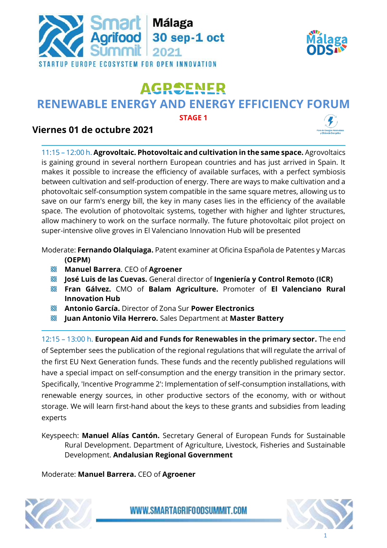



## **AGROENER**

## **RENEWABLE ENERGY AND ENERGY EFFICIENCY FORUM**

**STAGE 1**

## **Viernes 01 de octubre 2021**

11:15 – 12:00 h. **Agrovoltaic. Photovoltaic and cultivation in the same space.** Agrovoltaics is gaining ground in several northern European countries and has just arrived in Spain. It makes it possible to increase the efficiency of available surfaces, with a perfect symbiosis between cultivation and self-production of energy. There are ways to make cultivation and a photovoltaic self-consumption system compatible in the same square metres, allowing us to save on our farm's energy bill, the key in many cases lies in the efficiency of the available space. The evolution of photovoltaic systems, together with higher and lighter structures, allow machinery to work on the surface normally. The future photovoltaic pilot project on super-intensive olive groves in El Valenciano Innovation Hub will be presented

Moderate: **Fernando Olalquiaga.** Patent examiner at Oficina Española de Patentes y Marcas **(OEPM)**

- R **Manuel Barrera**. CEO of **Agroener**
- **José Luis de las Cuevas.** General director of **Ingeniería y Control Remoto (ICR)**
- **Fran Gálvez.** CMO of **Balam Agriculture.** Promoter of **El Valenciano Rural Innovation Hub**
- **Antonio García.** Director of Zona Sur **Power Electronics**
- **Juan Antonio Vila Herrero.** Sales Department at **Master Battery**

12:15 – 13:00 h. **European Aid and Funds for Renewables in the primary sector.** The end of September sees the publication of the regional regulations that will regulate the arrival of the first EU Next Generation funds. These funds and the recently published regulations will have a special impact on self-consumption and the energy transition in the primary sector. Specifically, 'Incentive Programme 2': Implementation of self-consumption installations, with renewable energy sources, in other productive sectors of the economy, with or without storage. We will learn first-hand about the keys to these grants and subsidies from leading experts

Keyspeech: **Manuel Alías Cantón.** Secretary General of European Funds for Sustainable Rural Development. Department of Agriculture, Livestock, Fisheries and Sustainable Development. **Andalusian Regional Government**

Moderate: **Manuel Barrera.** CEO of **Agroener**